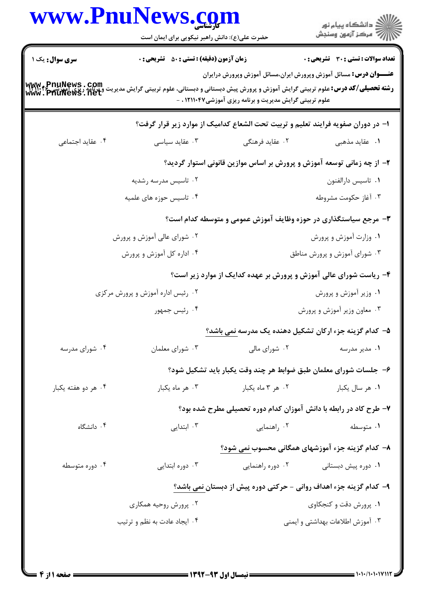| <b>زمان آزمون (دقیقه) : تستی : 50 ٪ تشریحی : 0</b><br><b>تعداد سوالات : تستی : 30 ٪ تشریحی : 0</b><br><b>عنــــوان درس:</b> مسائل آموزش وپرورش ایران،مسائل آموزش وپرورش درایران<br><b>رشته تحصیلی/کد درس: ع</b> لوم تربیتی گرایش آموزش و پرورش پیش دبستانی و دبستانی، علوم تربیتی گرایش مدیریت و پرنامه ریزی<br>www . PhuNews . net<br>علوم تربیتی گرایش مدیریت و برنامه ریزی آموزشی۱۲۱۱۰۴۷ ، - | <b>سری سوال :</b> یک ۱ |
|-------------------------------------------------------------------------------------------------------------------------------------------------------------------------------------------------------------------------------------------------------------------------------------------------------------------------------------------------------------------------------------------------|------------------------|
|                                                                                                                                                                                                                                                                                                                                                                                                 |                        |
| ا- در دوران صفویه فرایند تعلیم و تربیت تحت الشعاع کدامیک از موارد زیر قرار گرفت؟                                                                                                                                                                                                                                                                                                                |                        |
| ۰۲ عقاید فرهنگی<br>۰۳ عقاید سیاسی<br>۰۱ عقاید مذهب <i>ی</i>                                                                                                                                                                                                                                                                                                                                     | ۰۴ عقاید اجتماعی       |
| ۲– از چه زمانی توسعه آموزش و پرورش بر اساس موازین قانونی استوار گردید؟                                                                                                                                                                                                                                                                                                                          |                        |
| ٠١ تاسيس دارالفنون<br>۰۲ تاسیس مدرسه رشدیه                                                                                                                                                                                                                                                                                                                                                      |                        |
| ۰۳ آغاز حکومت مشروطه<br>۰۴ تاسیس حوزه های علمیه                                                                                                                                                                                                                                                                                                                                                 |                        |
| ۳- مرجع سیاستگذاری در حوزه وظایف آموزش عمومی و متوسطه کدام است؟                                                                                                                                                                                                                                                                                                                                 |                        |
| ۰۱ وزارت آموزش و پرورش<br>۰۲ شورای عالی آموزش و پرورش                                                                                                                                                                                                                                                                                                                                           |                        |
| ۰۴ اداره کل آموزش و پرورش<br>۰۳ شورای آموزش و پرورش مناطق                                                                                                                                                                                                                                                                                                                                       |                        |
| ۴- ریاست شورای عالی آموزش و پرورش بر عهده کدایک از موارد زیر است؟                                                                                                                                                                                                                                                                                                                               |                        |
| ۰۱ وزیر آموزش و پرورش<br>۰۲ رئیس اداره آموزش و پرورش مرکزی                                                                                                                                                                                                                                                                                                                                      |                        |
| ۰۳ معاون وزیر آموزش و پرورش<br>۰۴ رئیس جمهور                                                                                                                                                                                                                                                                                                                                                    |                        |
| ۵– کدام گزینه جزء ارکان تشکیل دهنده یک مدرسه نمی باشد؟                                                                                                                                                                                                                                                                                                                                          |                        |
| ۰۲ شورای مالی<br>۰۳ شورای معلمان<br>۰۱ مدیر مدرسه                                                                                                                                                                                                                                                                                                                                               | ۰۴ شورای مدرسه         |
| ۶– جلسات شورای معلمان طبق ضوابط هر چند وقت یکبار باید تشکیل شود؟                                                                                                                                                                                                                                                                                                                                |                        |
| ۰۳ هر ماه يكبار<br>۰۱ هر سال يکبار<br>۰۲ هر ۳ ماه یکبار                                                                                                                                                                                                                                                                                                                                         | ۰۴ هر دو هفته یکبار    |
| ۷- طرح کاد در رابطه با دانش آموزان کدام دوره تحصیلی مطرح شده بود؟                                                                                                                                                                                                                                                                                                                               |                        |
| ۰۳ ابتدایی<br>۰۲ راهنمایی<br>۰۱ متوسطه                                                                                                                                                                                                                                                                                                                                                          | ۰۴ دانشگاه             |
| ۸– کدام گزینه جزء آموزشهای همگانی محسوب نمی شود؟                                                                                                                                                                                                                                                                                                                                                |                        |
| ۰۲ دوره راهنمایی<br>۰۳ دوره ابتدایی<br>۰۱ دوره پیش دبستانی                                                                                                                                                                                                                                                                                                                                      | ۰۴ دوره متوسطه         |
| ۹– کدام گزینه جزء اهداف روانی - حرکتی دوره پیش از دبستا <u>ن نمی</u> باشد؟                                                                                                                                                                                                                                                                                                                      |                        |
| ۰۱. پرورش دقت و کنجکاوی<br>۰۲ پرورش روحیه همکاری                                                                                                                                                                                                                                                                                                                                                |                        |
| ۰۴ ایجاد عادت به نظم و ترتیب<br>۰۳ آموزش اطلاعات بهداشتی و ایمنی                                                                                                                                                                                                                                                                                                                                |                        |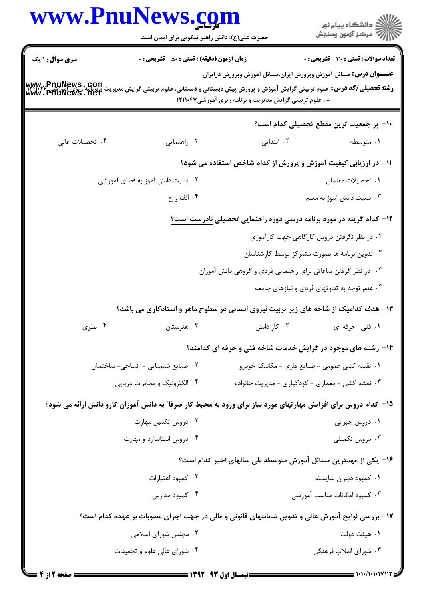|                 | www.PnuNews.com<br>حضرت علی(ع): دانش راهبر نیکویی برای ایمان است                                                |                                                                                                                                       | ِ دانشڪاه پيا <sub>م</sub> نور<br>/∕ مرڪز آزمون وسنڊش |
|-----------------|-----------------------------------------------------------------------------------------------------------------|---------------------------------------------------------------------------------------------------------------------------------------|-------------------------------------------------------|
| سری سوال : ۱ یک | <b>زمان آزمون (دقیقه) : تستی : 50 ٪ تشریحی : 0</b>                                                              |                                                                                                                                       | تعداد سوالات : تستى : 30 قشريحى : 0                   |
| www.PnuNews.com | <b>رشته تحصیلی/کد درس:</b> علوم تربیتی گرایش آموزش و پرورش پیش دبستانی و دبستانی، علوم تربیتی گرایش مدیریت      | <b>عنــــوان درس:</b> مسائل آموزش وپرورش ایران،مسائل آموزش وپرورش درایران<br>- ، علوم تربیتی گرایش مدیریت و برنامه ریزی آموزشی۱۲۱۱۰۴۷ |                                                       |
|                 |                                                                                                                 |                                                                                                                                       | ∙ا− پر جمعیت ترین مقطع تحصیلی کدام است؟               |
| ۰۴ تحصیلات عالی | ۰۳ راهنمایی                                                                                                     | ۰۲ ابتدایی                                                                                                                            | ۰۱ متوسطه                                             |
|                 |                                                                                                                 | <b>۱۱</b> - در ارزیابی کیفیت آموزش و پرورش از کدام شاخص استفاده می شود؟                                                               |                                                       |
|                 | ۰۲ نسبت دانش آموز به فضای آموزشی                                                                                |                                                                                                                                       | ٠١ تحصيلات معلمان                                     |
|                 | ۰۴ الف و ج                                                                                                      |                                                                                                                                       | ۰۳ نسبت دانش آموز به معلم                             |
|                 |                                                                                                                 | ۱۲- کدام گزینه در مورد برنامه درسی دوره راهنمایی تحصیلی نادرست است؟                                                                   |                                                       |
|                 |                                                                                                                 |                                                                                                                                       | ۰۱ در نظر نگرفتن دروس کارگاهی جهت کارآموزی            |
|                 |                                                                                                                 |                                                                                                                                       | ۰۲ تدوین برنامه ها بصورت متمرکز توسط کارشناسان        |
|                 |                                                                                                                 | ۰۳ در نظر گرفتن ساعاتی برای راهنمایی فردی و گروهی دانش آموزان                                                                         |                                                       |
|                 |                                                                                                                 |                                                                                                                                       | ۰۴ عدم توجه به تفاوتهای فردی و نیازهای جامعه          |
|                 | ۱۳- هدف کدامیک از شاخه های زیر تربیت نیروی انسانی در سطوح ماهر و استادکاری می باشد؟                             |                                                                                                                                       |                                                       |
| ۰۴ نظری         | ۰۳ هنرستان                                                                                                      | ۰۲ کار دانش                                                                                                                           | ۰۱ فنی- حرفه ای                                       |
|                 |                                                                                                                 | ۱۴- رشته های موجود در گرایش خدمات شاخه فنی و حرفه ای کدامند؟                                                                          |                                                       |
|                 | ۰۲ صنایع شیمیایی - نساجی-ساختمان                                                                                |                                                                                                                                       | ۰۱ نقشه کشی عمومی - صنایع فلزی - مکانیک خودرو         |
|                 | ۰۴ الکترونیک و مخابرات دریایی                                                                                   | ۰۳ نقشه کشی - معماری - کودکیاری - مدیریت خانواده                                                                                      |                                                       |
|                 | ۱۵– کدام دروس برای افزایش مهارتهای مورد نیاز برای ورود به محیط کار صرفا" به دانش آموزان کارو دانش ارائه می شود؟ |                                                                                                                                       |                                                       |
|                 | ۰۲ دروس تکمیل مهارت                                                                                             |                                                                                                                                       | ۰۱ دروس جبرانی                                        |
|                 | ۰۴ دروس استاندارد و مهارت                                                                                       |                                                                                                                                       | دروس تكميلى $\cdot$ ۳ .                               |
|                 |                                                                                                                 | ۱۶– یکی از مهمترین مسائل آموزش متوسطه طی سالهای اخیر کدام است؟                                                                        |                                                       |
|                 | ۰۲ کمبود اعتبارات                                                                                               |                                                                                                                                       | ۰۱ کمبود دبیران شایسته                                |
|                 | ۰۴ کمبود مدارس                                                                                                  |                                                                                                                                       | ۰۳ کمبود امکانات مناسب آموزشی                         |
|                 | ۱۷- بررسی لوایح آموزش عالی و تدوین ضمانتهای قانونی و مالی در جهت اجرای مصوبات بر عهده کدام است؟                 |                                                                                                                                       |                                                       |
|                 | ۰۲ مجلس شورای اسلامی                                                                                            |                                                                                                                                       | ٠١. هيئت دولت                                         |
|                 | ۰۴ شورای عالی علوم و تحقیقات                                                                                    |                                                                                                                                       | ۰۳ شورای انقلاب فرهنگی                                |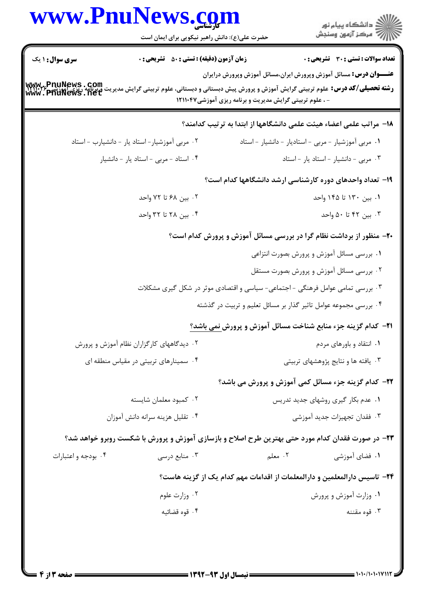|                        | www.PnuNews.com<br>حضرت علی(ع): دانش راهبر نیکویی برای ایمان است                                 |                                                                                | ر<br>اگر دانشگاه پيام نور<br>اگر مرکز آزمون وسنجش                         |
|------------------------|--------------------------------------------------------------------------------------------------|--------------------------------------------------------------------------------|---------------------------------------------------------------------------|
| <b>سری سوال : ۱ یک</b> | <b>زمان آزمون (دقیقه) : تستی : 50 ٪ تشریحی : 0</b>                                               |                                                                                | <b>تعداد سوالات : تستی : 30 ٪ تشریحی : 0</b>                              |
|                        |                                                                                                  | - ، علوم تربیتی گرایش مدیریت و برنامه ریزی آموزشی۱۲۱۱۰۴۷                       | <b>عنــــوان درس:</b> مسائل آموزش وپرورش ایران،مسائل آموزش وپرورش درایران |
|                        |                                                                                                  |                                                                                | ۱۸– مراتب علمی اعضاء هیئت علمی دانشگاهها از ابتدا به ترتیب کدامند؟        |
|                        | ۰۲ مربی آموزشیار-استاد یار - دانشیارب -استاد                                                     |                                                                                | ۰۱ مربی آموزشیار - مربی - استادیار - دانشیار - استاد                      |
|                        | ۰۴ استاد - مربی - استاد یار - دانشیار                                                            |                                                                                | ٠٣ مربى - دانشيار - استاد يار - استاد                                     |
|                        |                                                                                                  |                                                                                | ۱۹- تعداد واحدهای دوره کارشناسی ارشد دانشگاهها کدام است؟                  |
|                        | ۰۲ بین ۶۸ تا ۷۲ واحد                                                                             |                                                                                | ۰۱. بین ۱۳۰ تا ۱۴۵ واحد                                                   |
|                        | ۰۴ بین ۲۸ تا ۳۲ واحد                                                                             |                                                                                | ۰۳ بین ۴۲ تا ۵۰ واحد                                                      |
|                        |                                                                                                  |                                                                                | ۲۰- منظور از برداشت نظام گرا در بررسی مسائل آموزش و پرورش کدام است؟       |
|                        |                                                                                                  |                                                                                | ۰۱ بررسی مسائل آموزش و پرورش بصورت انتزاعی                                |
|                        |                                                                                                  |                                                                                | ۰۲ بررسی مسائل آموزش و پرورش بصورت مستقل                                  |
|                        |                                                                                                  | ۰۳ بررسی تمامی عوامل فرهنگی - اجتماعی- سیاسی و اقتصادی موثر در شکل گیری مشکلات |                                                                           |
|                        |                                                                                                  | ۰۴ بررسی مجموعه عوامل تاثیر گذار بر مسائل تعلیم و تربیت در گذشته               |                                                                           |
|                        |                                                                                                  |                                                                                | <b>31- كدام گزينه جزء منابع شناخت مسائل آموزش و پرورش نمی باشد؟</b>       |
|                        | ۰۲ دیدگاههای کارگزاران نظام آموزش و پرورش                                                        |                                                                                | ۰۱ انتقاد و باورهای مردم                                                  |
|                        | ۰۴ سمینارهای تربیتی در مقیاس منطقه ای                                                            |                                                                                | ۰۳ یافته ها و نتایج پژوهشهای تربیتی                                       |
|                        |                                                                                                  |                                                                                | <b>۲۲- کدام گزینه جزء مسائل کمی آموزش و پرورش می باشد؟</b>                |
|                        | ۰۲ کمبود معلمان شایسته                                                                           |                                                                                | ۰۱ عدم بکار گیری روشهای جدید تدریس                                        |
|                        | ۰۴ تقلیل هزینه سرانه دانش آموزان                                                                 |                                                                                | ۰۳ فقدان تجهيزات جديد آموزشي                                              |
|                        | ۲۳- در صورت فقدان کدام مورد حتی بهترین طرح اصلاح و بازسازی آموزش و پرورش با شکست روبرو خواهد شد؟ |                                                                                |                                                                           |
| ۰۴ بودجه و اعتبارات    | ۰۳ منابع درسی                                                                                    | ۰۲ معلم                                                                        | ۰۱ فضای آموزشی                                                            |
|                        |                                                                                                  |                                                                                | ۲۴– تاسیس دارالمعلمین و دارالمعلمات از اقدامات مهم کدام یک از گزینه هاست؟ |
|                        | ۰۲ وزارت علوم                                                                                    |                                                                                | ۰۱ وزارت آموزش و پرورش                                                    |
|                        | ۰۴ قوه قضائيه                                                                                    |                                                                                | ۰۳ قوه مقننه                                                              |